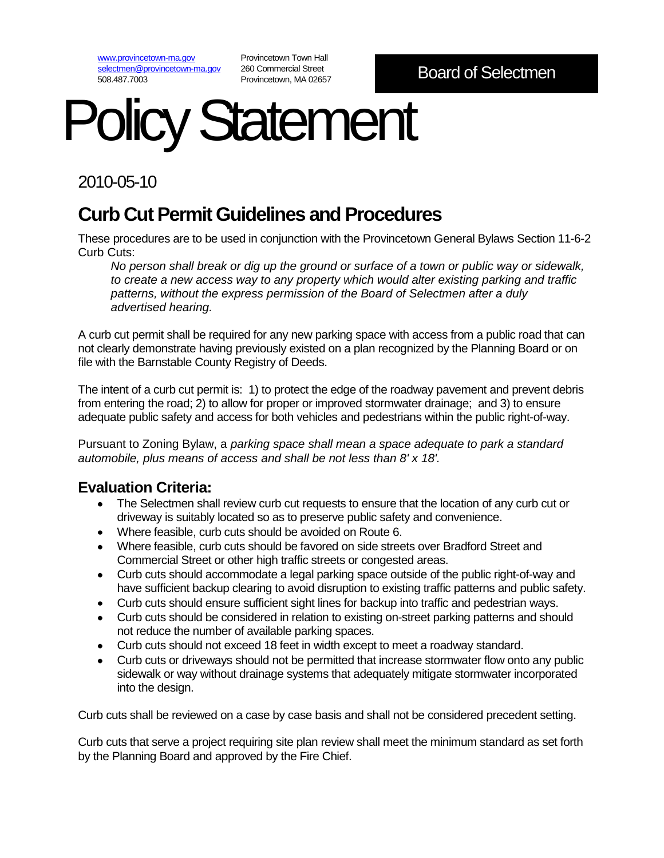[www.provincetown-ma.gov](http://www.provincetown-ma.gov/) [selectmen@provincetown-ma.gov](mailto:selectmen@provincetown-ma.gov) 508.487.7003

Provincetown Town Hall 260 Commercial Street Provincetown, MA 02657

# **Dlicy Statement**

2010-05-10

# **Curb Cut Permit Guidelines and Procedures**

These procedures are to be used in conjunction with the Provincetown General Bylaws Section 11-6-2 Curb Cuts:

*No person shall break or dig up the ground or surface of a town or public way or sidewalk, to create a new access way to any property which would alter existing parking and traffic patterns, without the express permission of the Board of Selectmen after a duly advertised hearing.*

A curb cut permit shall be required for any new parking space with access from a public road that can not clearly demonstrate having previously existed on a plan recognized by the Planning Board or on file with the Barnstable County Registry of Deeds.

The intent of a curb cut permit is: 1) to protect the edge of the roadway pavement and prevent debris from entering the road; 2) to allow for proper or improved stormwater drainage; and 3) to ensure adequate public safety and access for both vehicles and pedestrians within the public right-of-way.

Pursuant to Zoning Bylaw, a *parking space shall mean a space adequate to park a standard automobile, plus means of access and shall be not less than 8' x 18'.* 

## **Evaluation Criteria:**

- The Selectmen shall review curb cut requests to ensure that the location of any curb cut or driveway is suitably located so as to preserve public safety and convenience.
- Where feasible, curb cuts should be avoided on Route 6.
- Where feasible, curb cuts should be favored on side streets over Bradford Street and Commercial Street or other high traffic streets or congested areas.
- Curb cuts should accommodate a legal parking space outside of the public right-of-way and have sufficient backup clearing to avoid disruption to existing traffic patterns and public safety.
- Curb cuts should ensure sufficient sight lines for backup into traffic and pedestrian ways.
- Curb cuts should be considered in relation to existing on-street parking patterns and should not reduce the number of available parking spaces.
- Curb cuts should not exceed 18 feet in width except to meet a roadway standard.
- Curb cuts or driveways should not be permitted that increase stormwater flow onto any public sidewalk or way without drainage systems that adequately mitigate stormwater incorporated into the design.

Curb cuts shall be reviewed on a case by case basis and shall not be considered precedent setting.

Curb cuts that serve a project requiring site plan review shall meet the minimum standard as set forth by the Planning Board and approved by the Fire Chief.